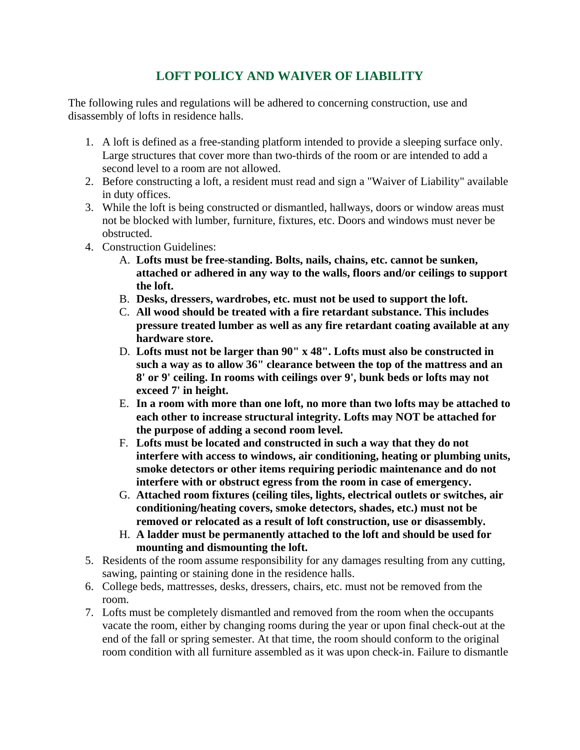## **LOFT POLICY AND WAIVER OF LIABILITY**

The following rules and regulations will be adhered to concerning construction, use and disassembly of lofts in residence halls.

- 1. A loft is defined as a free-standing platform intended to provide a sleeping surface only. Large structures that cover more than two-thirds of the room or are intended to add a second level to a room are not allowed.
- 2. Before constructing a loft, a resident must read and sign a "Waiver of Liability" available in duty offices.
- 3. While the loft is being constructed or dismantled, hallways, doors or window areas must not be blocked with lumber, furniture, fixtures, etc. Doors and windows must never be obstructed.
- 4. Construction Guidelines:
	- A. **Lofts must be free-standing. Bolts, nails, chains, etc. cannot be sunken, attached or adhered in any way to the walls, floors and/or ceilings to support the loft.**
	- B. **Desks, dressers, wardrobes, etc. must not be used to support the loft.**
	- C. **All wood should be treated with a fire retardant substance. This includes pressure treated lumber as well as any fire retardant coating available at any hardware store.**
	- D. **Lofts must not be larger than 90" x 48". Lofts must also be constructed in such a way as to allow 36" clearance between the top of the mattress and an 8' or 9' ceiling. In rooms with ceilings over 9', bunk beds or lofts may not exceed 7' in height.**
	- E. **In a room with more than one loft, no more than two lofts may be attached to each other to increase structural integrity. Lofts may NOT be attached for the purpose of adding a second room level.**
	- F. **Lofts must be located and constructed in such a way that they do not interfere with access to windows, air conditioning, heating or plumbing units, smoke detectors or other items requiring periodic maintenance and do not interfere with or obstruct egress from the room in case of emergency.**
	- G. **Attached room fixtures (ceiling tiles, lights, electrical outlets or switches, air conditioning/heating covers, smoke detectors, shades, etc.) must not be removed or relocated as a result of loft construction, use or disassembly.**
	- H. **A ladder must be permanently attached to the loft and should be used for mounting and dismounting the loft.**
- 5. Residents of the room assume responsibility for any damages resulting from any cutting, sawing, painting or staining done in the residence halls.
- 6. College beds, mattresses, desks, dressers, chairs, etc. must not be removed from the room.
- 7. Lofts must be completely dismantled and removed from the room when the occupants vacate the room, either by changing rooms during the year or upon final check-out at the end of the fall or spring semester. At that time, the room should conform to the original room condition with all furniture assembled as it was upon check-in. Failure to dismantle